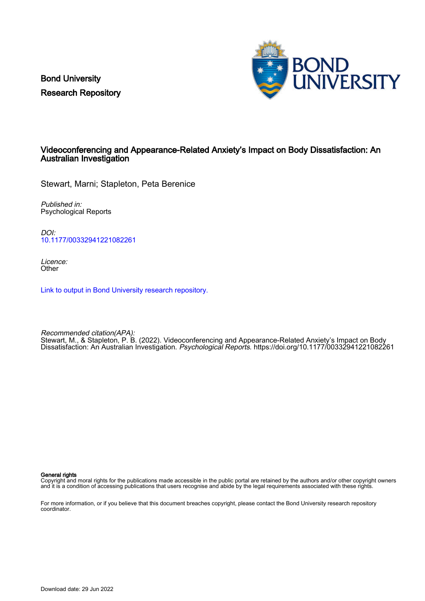Bond University Research Repository



## Videoconferencing and Appearance-Related Anxiety's Impact on Body Dissatisfaction: An Australian Investigation

Stewart, Marni; Stapleton, Peta Berenice

Published in: Psychological Reports

DOI: [10.1177/00332941221082261](https://doi.org/10.1177/00332941221082261)

Licence: **Other** 

[Link to output in Bond University research repository.](https://research.bond.edu.au/en/publications/5a1bd26c-1336-4b60-9e33-034167e069f7)

Recommended citation(APA): Stewart, M., & Stapleton, P. B. (2022). Videoconferencing and Appearance-Related Anxiety's Impact on Body Dissatisfaction: An Australian Investigation. Psychological Reports.<https://doi.org/10.1177/00332941221082261>

General rights

Copyright and moral rights for the publications made accessible in the public portal are retained by the authors and/or other copyright owners and it is a condition of accessing publications that users recognise and abide by the legal requirements associated with these rights.

For more information, or if you believe that this document breaches copyright, please contact the Bond University research repository coordinator.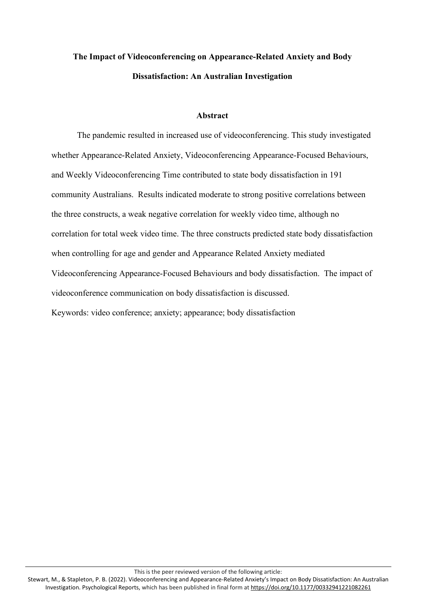# **The Impact of Videoconferencing on Appearance-Related Anxiety and Body Dissatisfaction: An Australian Investigation**

### **Abstract**

The pandemic resulted in increased use of videoconferencing. This study investigated whether Appearance-Related Anxiety, Videoconferencing Appearance-Focused Behaviours, and Weekly Videoconferencing Time contributed to state body dissatisfaction in 191 community Australians. Results indicated moderate to strong positive correlations between the three constructs, a weak negative correlation for weekly video time, although no correlation for total week video time. The three constructs predicted state body dissatisfaction when controlling for age and gender and Appearance Related Anxiety mediated Videoconferencing Appearance-Focused Behaviours and body dissatisfaction. The impact of videoconference communication on body dissatisfaction is discussed. Keywords: video conference; anxiety; appearance; body dissatisfaction

This is the peer reviewed version of the following article: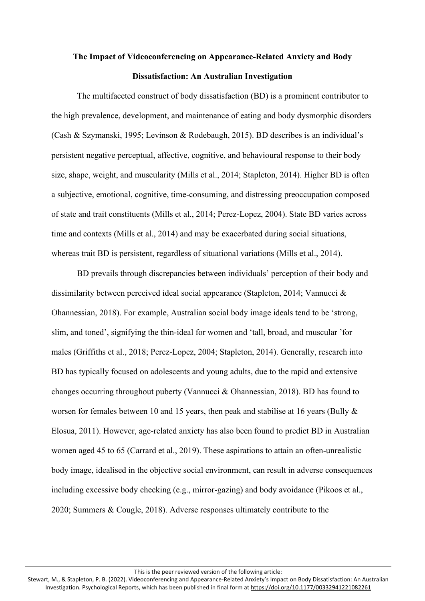# **The Impact of Videoconferencing on Appearance-Related Anxiety and Body Dissatisfaction: An Australian Investigation**

The multifaceted construct of body dissatisfaction (BD) is a prominent contributor to the high prevalence, development, and maintenance of eating and body dysmorphic disorders (Cash & Szymanski, 1995; Levinson & Rodebaugh, 2015). BD describes is an individual's persistent negative perceptual, affective, cognitive, and behavioural response to their body size, shape, weight, and muscularity (Mills et al., 2014; Stapleton, 2014). Higher BD is often a subjective, emotional, cognitive, time-consuming, and distressing preoccupation composed of state and trait constituents (Mills et al., 2014; Perez-Lopez, 2004). State BD varies across time and contexts (Mills et al., 2014) and may be exacerbated during social situations, whereas trait BD is persistent, regardless of situational variations (Mills et al., 2014).

BD prevails through discrepancies between individuals' perception of their body and dissimilarity between perceived ideal social appearance (Stapleton, 2014; Vannucci & Ohannessian, 2018). For example, Australian social body image ideals tend to be 'strong, slim, and toned', signifying the thin-ideal for women and 'tall, broad, and muscular 'for males (Griffiths et al., 2018; Perez-Lopez, 2004; Stapleton, 2014). Generally, research into BD has typically focused on adolescents and young adults, due to the rapid and extensive changes occurring throughout puberty (Vannucci & Ohannessian, 2018). BD has found to worsen for females between 10 and 15 years, then peak and stabilise at 16 years (Bully & Elosua, 2011). However, age-related anxiety has also been found to predict BD in Australian women aged 45 to 65 (Carrard et al., 2019). These aspirations to attain an often-unrealistic body image, idealised in the objective social environment, can result in adverse consequences including excessive body checking (e.g., mirror-gazing) and body avoidance (Pikoos et al., 2020; Summers & Cougle, 2018). Adverse responses ultimately contribute to the

This is the peer reviewed version of the following article: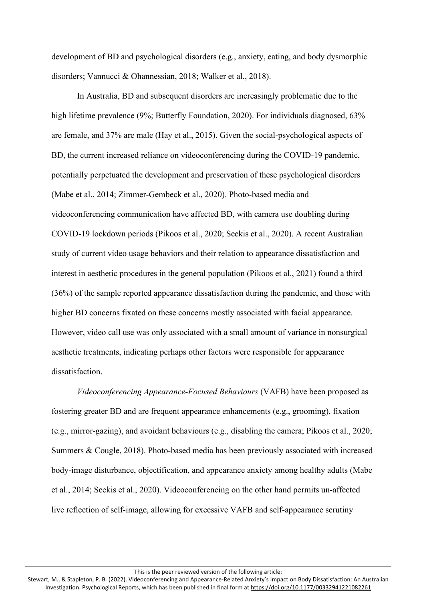development of BD and psychological disorders (e.g., anxiety, eating, and body dysmorphic disorders; Vannucci & Ohannessian, 2018; Walker et al., 2018).

In Australia, BD and subsequent disorders are increasingly problematic due to the high lifetime prevalence (9%; Butterfly Foundation, 2020). For individuals diagnosed, 63% are female, and 37% are male (Hay et al., 2015). Given the social-psychological aspects of BD, the current increased reliance on videoconferencing during the COVID-19 pandemic, potentially perpetuated the development and preservation of these psychological disorders (Mabe et al., 2014; Zimmer-Gembeck et al., 2020). Photo-based media and videoconferencing communication have affected BD, with camera use doubling during COVID-19 lockdown periods (Pikoos et al., 2020; Seekis et al., 2020). A recent Australian study of current video usage behaviors and their relation to appearance dissatisfaction and interest in aesthetic procedures in the general population (Pikoos et al., 2021) found a third (36%) of the sample reported appearance dissatisfaction during the pandemic, and those with higher BD concerns fixated on these concerns mostly associated with facial appearance. However, video call use was only associated with a small amount of variance in nonsurgical aesthetic treatments, indicating perhaps other factors were responsible for appearance dissatisfaction.

*Videoconferencing Appearance-Focused Behaviours* (VAFB) have been proposed as fostering greater BD and are frequent appearance enhancements (e.g., grooming), fixation (e.g., mirror-gazing), and avoidant behaviours (e.g., disabling the camera; Pikoos et al., 2020; Summers & Cougle, 2018). Photo-based media has been previously associated with increased body-image disturbance, objectification, and appearance anxiety among healthy adults (Mabe et al., 2014; Seekis et al., 2020). Videoconferencing on the other hand permits un-affected live reflection of self-image, allowing for excessive VAFB and self-appearance scrutiny

This is the peer reviewed version of the following article: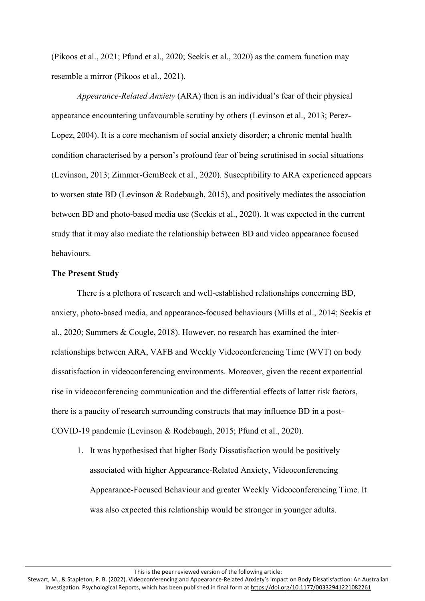(Pikoos et al., 2021; Pfund et al., 2020; Seekis et al., 2020) as the camera function may resemble a mirror (Pikoos et al., 2021).

*Appearance-Related Anxiety* (ARA) then is an individual's fear of their physical appearance encountering unfavourable scrutiny by others (Levinson et al., 2013; Perez-Lopez, 2004). It is a core mechanism of social anxiety disorder; a chronic mental health condition characterised by a person's profound fear of being scrutinised in social situations (Levinson, 2013; Zimmer-GemBeck et al., 2020). Susceptibility to ARA experienced appears to worsen state BD (Levinson & Rodebaugh, 2015), and positively mediates the association between BD and photo-based media use (Seekis et al., 2020). It was expected in the current study that it may also mediate the relationship between BD and video appearance focused behaviours.

#### **The Present Study**

There is a plethora of research and well-established relationships concerning BD, anxiety, photo-based media, and appearance-focused behaviours (Mills et al., 2014; Seekis et al., 2020; Summers & Cougle, 2018). However, no research has examined the interrelationships between ARA, VAFB and Weekly Videoconferencing Time (WVT) on body dissatisfaction in videoconferencing environments. Moreover, given the recent exponential rise in videoconferencing communication and the differential effects of latter risk factors, there is a paucity of research surrounding constructs that may influence BD in a post-COVID-19 pandemic (Levinson & Rodebaugh, 2015; Pfund et al., 2020).

1. It was hypothesised that higher Body Dissatisfaction would be positively associated with higher Appearance-Related Anxiety, Videoconferencing Appearance-Focused Behaviour and greater Weekly Videoconferencing Time. It was also expected this relationship would be stronger in younger adults.

This is the peer reviewed version of the following article:

Stewart, M., & Stapleton, P. B. (2022). Videoconferencing and Appearance-Related Anxiety's Impact on Body Dissatisfaction: An Australian Investigation. Psychological Reports, which has been published in final form at <https://doi.org/10.1177/00332941221082261>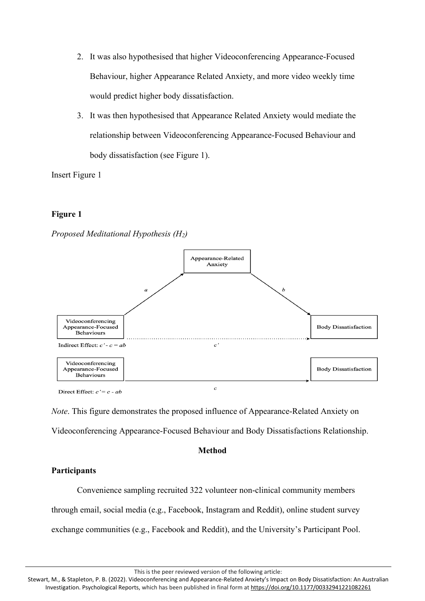- 2. It was also hypothesised that higher Videoconferencing Appearance-Focused Behaviour, higher Appearance Related Anxiety, and more video weekly time would predict higher body dissatisfaction.
- 3. It was then hypothesised that Appearance Related Anxiety would mediate the relationship between Videoconferencing Appearance-Focused Behaviour and body dissatisfaction (see Figure 1).

Insert Figure 1

# **Figure 1**





*Note*. This figure demonstrates the proposed influence of Appearance-Related Anxiety on Videoconferencing Appearance-Focused Behaviour and Body Dissatisfactions Relationship.

## **Method**

# **Participants**

Convenience sampling recruited 322 volunteer non-clinical community members through email, social media (e.g., Facebook, Instagram and Reddit), online student survey exchange communities (e.g., Facebook and Reddit), and the University's Participant Pool.

This is the peer reviewed version of the following article:

Stewart, M., & Stapleton, P. B. (2022). Videoconferencing and Appearance-Related Anxiety's Impact on Body Dissatisfaction: An Australian Investigation. Psychological Reports, which has been published in final form at <https://doi.org/10.1177/00332941221082261>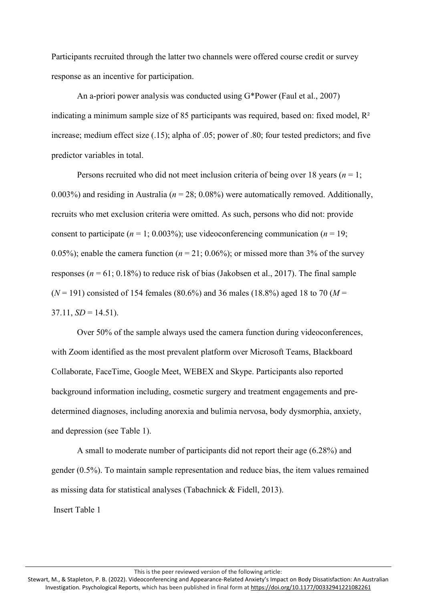Participants recruited through the latter two channels were offered course credit or survey response as an incentive for participation.

An a-priori power analysis was conducted using G\*Power (Faul et al., 2007) indicating a minimum sample size of 85 participants was required, based on: fixed model,  $\mathbb{R}^2$ increase; medium effect size (.15); alpha of .05; power of .80; four tested predictors; and five predictor variables in total.

Persons recruited who did not meet inclusion criteria of being over 18 years (*n* = 1; 0.003%) and residing in Australia (*n* = 28; 0.08%) were automatically removed. Additionally, recruits who met exclusion criteria were omitted. As such, persons who did not: provide consent to participate  $(n = 1; 0.003\%)$ ; use videoconferencing communication  $(n = 19;$ 0.05%); enable the camera function ( $n = 21$ ; 0.06%); or missed more than 3% of the survey responses ( $n = 61$ ; 0.18%) to reduce risk of bias (Jakobsen et al., 2017). The final sample  $(N = 191)$  consisted of 154 females (80.6%) and 36 males (18.8%) aged 18 to 70 ( $M =$  $37.11, SD = 14.51$ .

Over 50% of the sample always used the camera function during videoconferences, with Zoom identified as the most prevalent platform over Microsoft Teams, Blackboard Collaborate, FaceTime, Google Meet, WEBEX and Skype. Participants also reported background information including, cosmetic surgery and treatment engagements and predetermined diagnoses, including anorexia and bulimia nervosa, body dysmorphia, anxiety, and depression (see Table 1).

A small to moderate number of participants did not report their age (6.28%) and gender (0.5%). To maintain sample representation and reduce bias, the item values remained as missing data for statistical analyses (Tabachnick & Fidell, 2013).

Insert Table 1

This is the peer reviewed version of the following article: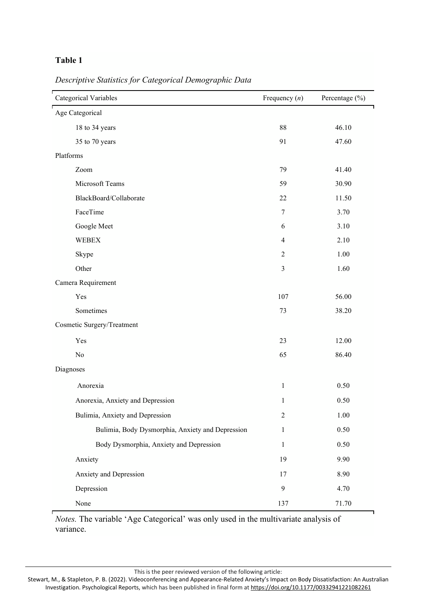# **Table 1**

| <b>Categorical Variables</b>                     | Frequency $(n)$ | Percentage (%) |
|--------------------------------------------------|-----------------|----------------|
| Age Categorical                                  |                 |                |
| 18 to 34 years                                   | 88              | 46.10          |
| 35 to 70 years                                   | 91              | 47.60          |
| Platforms                                        |                 |                |
| Zoom                                             | 79              | 41.40          |
| Microsoft Teams                                  | 59              | 30.90          |
| BlackBoard/Collaborate                           | 22              | 11.50          |
| FaceTime                                         | $\tau$          | 3.70           |
| Google Meet                                      | 6               | 3.10           |
| <b>WEBEX</b>                                     | $\overline{4}$  | 2.10           |
| Skype                                            | $\overline{2}$  | 1.00           |
| Other                                            | $\overline{3}$  | 1.60           |
| Camera Requirement                               |                 |                |
| Yes                                              | 107             | 56.00          |
| Sometimes                                        | 73              | 38.20          |
| Cosmetic Surgery/Treatment                       |                 |                |
| Yes                                              | 23              | 12.00          |
| N <sub>o</sub>                                   | 65              | 86.40          |
| Diagnoses                                        |                 |                |
| Anorexia                                         | $\mathbf{1}$    | 0.50           |
| Anorexia, Anxiety and Depression                 | $\mathbf{1}$    | 0.50           |
| Bulimia, Anxiety and Depression                  | 2               | 1.00           |
| Bulimia, Body Dysmorphia, Anxiety and Depression | $\mathbf{1}$    | 0.50           |
| Body Dysmorphia, Anxiety and Depression          | $\mathbf{1}$    | 0.50           |

*Descriptive Statistics for Categorical Demographic Data*

*Notes.* The variable 'Age Categorical' was only used in the multivariate analysis of variance.

Anxiety 19 9.90 Anxiety and Depression 17 8.90

Depression 9 4.70

None 137 71.70

This is the peer reviewed version of the following article: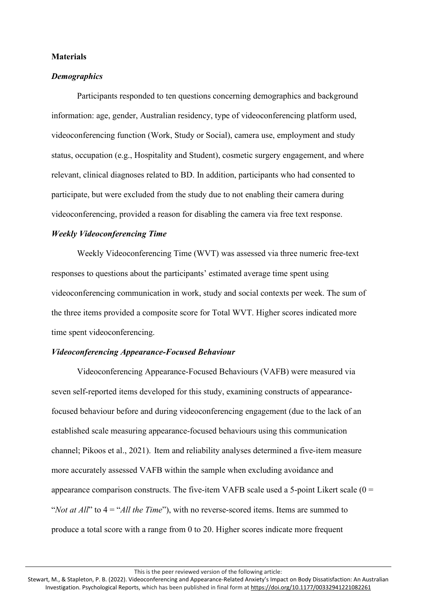#### **Materials**

#### *Demographics*

Participants responded to ten questions concerning demographics and background information: age, gender, Australian residency, type of videoconferencing platform used, videoconferencing function (Work, Study or Social), camera use, employment and study status, occupation (e.g., Hospitality and Student), cosmetic surgery engagement, and where relevant, clinical diagnoses related to BD. In addition, participants who had consented to participate, but were excluded from the study due to not enabling their camera during videoconferencing, provided a reason for disabling the camera via free text response.

#### *Weekly Videoconferencing Time*

Weekly Videoconferencing Time (WVT) was assessed via three numeric free-text responses to questions about the participants' estimated average time spent using videoconferencing communication in work, study and social contexts per week. The sum of the three items provided a composite score for Total WVT. Higher scores indicated more time spent videoconferencing.

#### *Videoconferencing Appearance-Focused Behaviour*

Videoconferencing Appearance-Focused Behaviours (VAFB) were measured via seven self-reported items developed for this study, examining constructs of appearancefocused behaviour before and during videoconferencing engagement (due to the lack of an established scale measuring appearance-focused behaviours using this communication channel; Pikoos et al., 2021). Item and reliability analyses determined a five-item measure more accurately assessed VAFB within the sample when excluding avoidance and appearance comparison constructs. The five-item VAFB scale used a 5-point Likert scale  $(0 =$ "*Not at All*" to 4 = "*All the Time*"), with no reverse-scored items. Items are summed to produce a total score with a range from 0 to 20. Higher scores indicate more frequent

This is the peer reviewed version of the following article: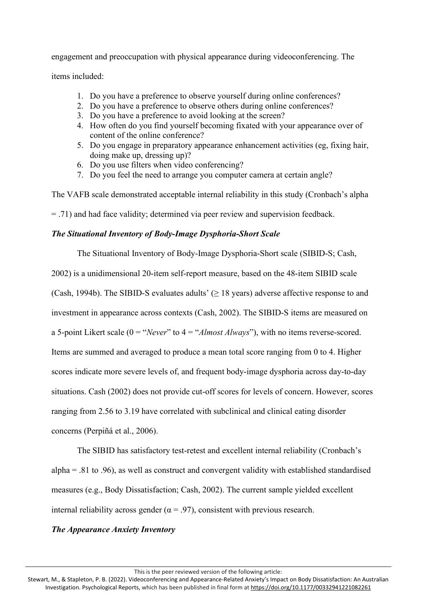engagement and preoccupation with physical appearance during videoconferencing. The

items included:

- 1. Do you have a preference to observe yourself during online conferences?
- 2. Do you have a preference to observe others during online conferences?
- 3. Do you have a preference to avoid looking at the screen?
- 4. How often do you find yourself becoming fixated with your appearance over of content of the online conference?
- 5. Do you engage in preparatory appearance enhancement activities (eg, fixing hair, doing make up, dressing up)?
- 6. Do you use filters when video conferencing?
- 7. Do you feel the need to arrange you computer camera at certain angle?

The VAFB scale demonstrated acceptable internal reliability in this study (Cronbach's alpha

= .71) and had face validity; determined via peer review and supervision feedback.

# *The Situational Inventory of Body-Image Dysphoria-Short Scale*

The Situational Inventory of Body-Image Dysphoria-Short scale (SIBID-S; Cash,

2002) is a unidimensional 20-item self-report measure, based on the 48-item SIBID scale

(Cash, 1994b). The SIBID-S evaluates adults' ( $\geq$  18 years) adverse affective response to and

investment in appearance across contexts (Cash, 2002). The SIBID-S items are measured on

a 5-point Likert scale (0 = "*Never*" to 4 = "*Almost Always*"), with no items reverse-scored.

Items are summed and averaged to produce a mean total score ranging from 0 to 4. Higher

scores indicate more severe levels of, and frequent body-image dysphoria across day-to-day

situations. Cash (2002) does not provide cut-off scores for levels of concern. However, scores

ranging from 2.56 to 3.19 have correlated with subclinical and clinical eating disorder

concerns (Perpiñá et al., 2006).

The SIBID has satisfactory test-retest and excellent internal reliability (Cronbach's alpha = .81 to .96), as well as construct and convergent validity with established standardised measures (e.g., Body Dissatisfaction; Cash, 2002). The current sample yielded excellent internal reliability across gender ( $\alpha$  = .97), consistent with previous research.

# *The Appearance Anxiety Inventory*

This is the peer reviewed version of the following article: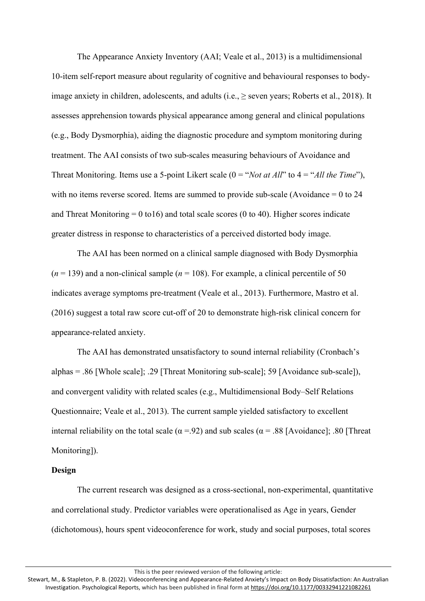The Appearance Anxiety Inventory (AAI; Veale et al., 2013) is a multidimensional 10-item self-report measure about regularity of cognitive and behavioural responses to bodyimage anxiety in children, adolescents, and adults (i.e.,  $\geq$  seven years; Roberts et al., 2018). It assesses apprehension towards physical appearance among general and clinical populations (e.g., Body Dysmorphia), aiding the diagnostic procedure and symptom monitoring during treatment. The AAI consists of two sub-scales measuring behaviours of Avoidance and Threat Monitoring. Items use a 5-point Likert scale (0 = "*Not at All*" to 4 = "*All the Time*"), with no items reverse scored. Items are summed to provide sub-scale (Avoidance = 0 to 24 and Threat Monitoring  $= 0$  to 16) and total scale scores (0 to 40). Higher scores indicate greater distress in response to characteristics of a perceived distorted body image.

The AAI has been normed on a clinical sample diagnosed with Body Dysmorphia  $(n = 139)$  and a non-clinical sample  $(n = 108)$ . For example, a clinical percentile of 50 indicates average symptoms pre-treatment (Veale et al., 2013). Furthermore, Mastro et al. (2016) suggest a total raw score cut-off of 20 to demonstrate high-risk clinical concern for appearance-related anxiety.

The AAI has demonstrated unsatisfactory to sound internal reliability (Cronbach's alphas = .86 [Whole scale]; .29 [Threat Monitoring sub-scale]; 59 [Avoidance sub-scale]), and convergent validity with related scales (e.g., Multidimensional Body–Self Relations Questionnaire; Veale et al., 2013). The current sample yielded satisfactory to excellent internal reliability on the total scale ( $\alpha$  =.92) and sub scales ( $\alpha$  = .88 [Avoidance]; .80 [Threat] Monitoring]).

#### **Design**

The current research was designed as a cross-sectional, non-experimental, quantitative and correlational study. Predictor variables were operationalised as Age in years, Gender (dichotomous), hours spent videoconference for work, study and social purposes, total scores

This is the peer reviewed version of the following article: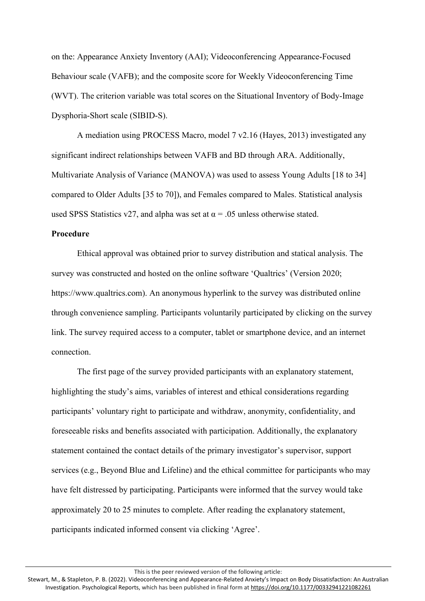on the: Appearance Anxiety Inventory (AAI); Videoconferencing Appearance-Focused Behaviour scale (VAFB); and the composite score for Weekly Videoconferencing Time (WVT). The criterion variable was total scores on the Situational Inventory of Body-Image Dysphoria-Short scale (SIBID-S).

A mediation using PROCESS Macro, model 7 v2.16 (Hayes, 2013) investigated any significant indirect relationships between VAFB and BD through ARA. Additionally, Multivariate Analysis of Variance (MANOVA) was used to assess Young Adults [18 to 34] compared to Older Adults [35 to 70]), and Females compared to Males. Statistical analysis used SPSS Statistics v27, and alpha was set at  $\alpha$  = .05 unless otherwise stated.

## **Procedure**

Ethical approval was obtained prior to survey distribution and statical analysis. The survey was constructed and hosted on the online software 'Qualtrics' (Version 2020; https://www.qualtrics.com). An anonymous hyperlink to the survey was distributed online through convenience sampling. Participants voluntarily participated by clicking on the survey link. The survey required access to a computer, tablet or smartphone device, and an internet connection.

The first page of the survey provided participants with an explanatory statement, highlighting the study's aims, variables of interest and ethical considerations regarding participants' voluntary right to participate and withdraw, anonymity, confidentiality, and foreseeable risks and benefits associated with participation. Additionally, the explanatory statement contained the contact details of the primary investigator's supervisor, support services (e.g., Beyond Blue and Lifeline) and the ethical committee for participants who may have felt distressed by participating. Participants were informed that the survey would take approximately 20 to 25 minutes to complete. After reading the explanatory statement, participants indicated informed consent via clicking 'Agree'.

This is the peer reviewed version of the following article: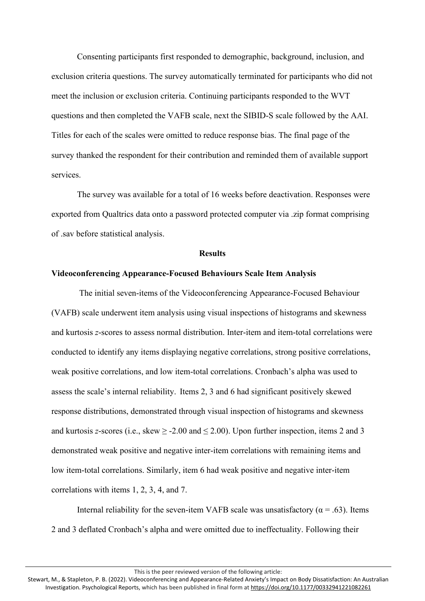Consenting participants first responded to demographic, background, inclusion, and exclusion criteria questions. The survey automatically terminated for participants who did not meet the inclusion or exclusion criteria. Continuing participants responded to the WVT questions and then completed the VAFB scale, next the SIBID-S scale followed by the AAI. Titles for each of the scales were omitted to reduce response bias. The final page of the survey thanked the respondent for their contribution and reminded them of available support services.

The survey was available for a total of 16 weeks before deactivation. Responses were exported from Qualtrics data onto a password protected computer via .zip format comprising of .sav before statistical analysis.

#### **Results**

#### **Videoconferencing Appearance-Focused Behaviours Scale Item Analysis**

The initial seven-items of the Videoconferencing Appearance-Focused Behaviour (VAFB) scale underwent item analysis using visual inspections of histograms and skewness and kurtosis *z*-scores to assess normal distribution. Inter-item and item-total correlations were conducted to identify any items displaying negative correlations, strong positive correlations, weak positive correlations, and low item-total correlations. Cronbach's alpha was used to assess the scale's internal reliability. Items 2, 3 and 6 had significant positively skewed response distributions, demonstrated through visual inspection of histograms and skewness and kurtosis *z*-scores (i.e., skew  $\geq$  -2.00 and  $\leq$  2.00). Upon further inspection, items 2 and 3 demonstrated weak positive and negative inter-item correlations with remaining items and low item-total correlations. Similarly, item 6 had weak positive and negative inter-item correlations with items 1, 2, 3, 4, and 7.

Internal reliability for the seven-item VAFB scale was unsatisfactory ( $\alpha$  = .63). Items 2 and 3 deflated Cronbach's alpha and were omitted due to ineffectuality. Following their

This is the peer reviewed version of the following article: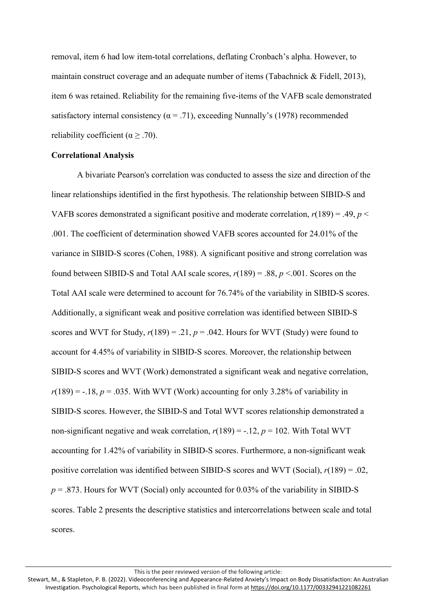removal, item 6 had low item-total correlations, deflating Cronbach's alpha. However, to maintain construct coverage and an adequate number of items (Tabachnick & Fidell, 2013), item 6 was retained. Reliability for the remaining five-items of the VAFB scale demonstrated satisfactory internal consistency ( $\alpha$  = .71), exceeding Nunnally's (1978) recommended reliability coefficient ( $\alpha \geq .70$ ).

#### **Correlational Analysis**

A bivariate Pearson's correlation was conducted to assess the size and direction of the linear relationships identified in the first hypothesis. The relationship between SIBID-S and VAFB scores demonstrated a significant positive and moderate correlation,  $r(189) = .49$ ,  $p <$ .001. The coefficient of determination showed VAFB scores accounted for 24.01% of the variance in SIBID-S scores (Cohen, 1988). A significant positive and strong correlation was found between SIBID-S and Total AAI scale scores, *r*(189) = .88, *p* <.001. Scores on the Total AAI scale were determined to account for 76.74% of the variability in SIBID-S scores. Additionally, a significant weak and positive correlation was identified between SIBID-S scores and WVT for Study,  $r(189) = .21$ ,  $p = .042$ . Hours for WVT (Study) were found to account for 4.45% of variability in SIBID-S scores. Moreover, the relationship between SIBID-S scores and WVT (Work) demonstrated a significant weak and negative correlation,  $r(189) = -.18$ ,  $p = .035$ . With WVT (Work) accounting for only 3.28% of variability in SIBID-S scores. However, the SIBID-S and Total WVT scores relationship demonstrated a non-significant negative and weak correlation,  $r(189) = -.12$ ,  $p = 102$ . With Total WVT accounting for 1.42% of variability in SIBID-S scores. Furthermore, a non-significant weak positive correlation was identified between SIBID-S scores and WVT (Social), *r*(189) = .02,  $p = .873$ . Hours for WVT (Social) only accounted for 0.03% of the variability in SIBID-S scores. Table 2 presents the descriptive statistics and intercorrelations between scale and total scores.

This is the peer reviewed version of the following article:

Stewart, M., & Stapleton, P. B. (2022). Videoconferencing and Appearance-Related Anxiety's Impact on Body Dissatisfaction: An Australian Investigation. Psychological Reports, which has been published in final form at <https://doi.org/10.1177/00332941221082261>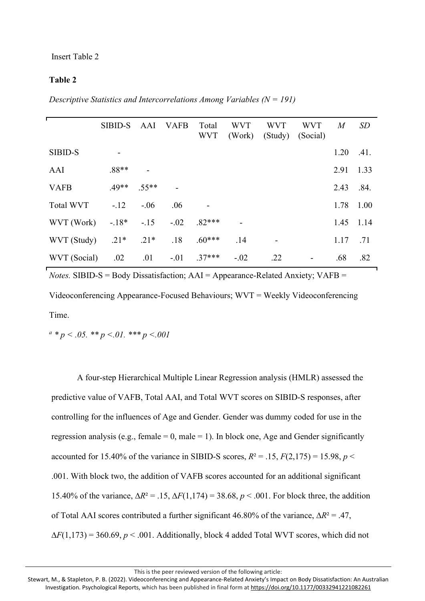## **Table 2**

*Descriptive Statistics and Intercorrelations Among Variables (N = 191)*

|              | <b>SIBID-S</b> | AAI     | VAFB   | Total<br><b>WVT</b> | <b>WVT</b><br>(Work) | <b>WVT</b> | <b>WVT</b><br>(Study) (Social) | M         | SD   |
|--------------|----------------|---------|--------|---------------------|----------------------|------------|--------------------------------|-----------|------|
| SIBID-S      |                |         |        |                     |                      |            |                                | 1.20      | .41. |
| AAI          | $.88**$        |         |        |                     |                      |            |                                | 2.91      | 1.33 |
| <b>VAFB</b>  | $.49**$        | $.55**$ |        |                     |                      |            |                                | 2.43      | .84. |
| Total WVT    | $-.12$         | $-.06$  | .06    |                     |                      |            |                                | 1.78      | 1.00 |
| WVT (Work)   | $-18*$         | $-.15$  | $-.02$ | $.82***$            |                      |            |                                | 1.45 1.14 |      |
| WVT (Study)  | $.21*$         | $.21*$  | .18    | $.60***$            | .14                  |            |                                | 1.17      | .71  |
| WVT (Social) | .02            | .01     | $-.01$ | $.37***$            | $-.02$               | .22        | $\overline{\phantom{a}}$       | .68       | .82  |

*Notes.* SIBID-S = Body Dissatisfaction; AAI = Appearance-Related Anxiety; VAFB = Videoconferencing Appearance-Focused Behaviours; WVT = Weekly Videoconferencing Time.

*<sup>a</sup> \* p < .05. \*\* p <.01. \*\*\* p <.001*

A four-step Hierarchical Multiple Linear Regression analysis (HMLR) assessed the predictive value of VAFB, Total AAI, and Total WVT scores on SIBID-S responses, after controlling for the influences of Age and Gender. Gender was dummy coded for use in the regression analysis (e.g., female = 0, male = 1). In block one, Age and Gender significantly accounted for 15.40% of the variance in SIBID-S scores,  $R^2 = .15$ ,  $F(2,175) = 15.98$ ,  $p <$ .001. With block two, the addition of VAFB scores accounted for an additional significant 15.40% of the variance, ∆*R*² = .15, ∆*F*(1,174) = 38.68, *p* < .001. For block three, the addition of Total AAI scores contributed a further significant 46.80% of the variance, ∆*R*² = .47,  $\Delta F(1,173) = 360.69, p < .001$ . Additionally, block 4 added Total WVT scores, which did not

This is the peer reviewed version of the following article: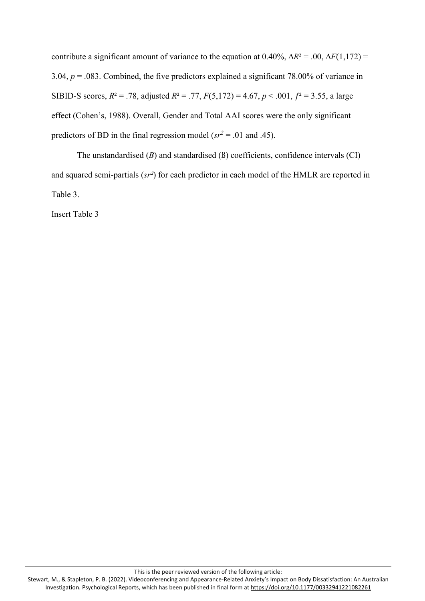contribute a significant amount of variance to the equation at  $0.40\%$ ,  $\Delta R^2 = .00$ ,  $\Delta F(1,172) =$ 3.04, *p* = .083. Combined, the five predictors explained a significant 78.00% of variance in SIBID-S scores,  $R^2 = .78$ , adjusted  $R^2 = .77$ ,  $F(5,172) = 4.67$ ,  $p < .001$ ,  $f^2 = 3.55$ , a large effect (Cohen's, 1988). Overall, Gender and Total AAI scores were the only significant predictors of BD in the final regression model ( $sr^2$  = .01 and .45).

The unstandardised (*B*) and standardised (ß) coefficients, confidence intervals (CI) and squared semi-partials (*sr²*) for each predictor in each model of the HMLR are reported in Table 3.

Insert Table 3

This is the peer reviewed version of the following article: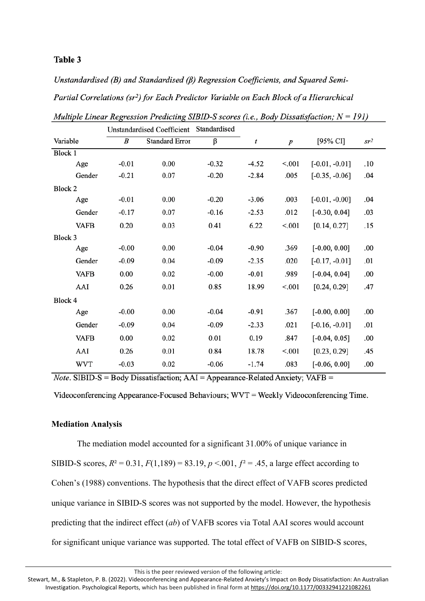## Table 3

Unstandardised (B) and Standardised (B) Regression Coefficients, and Squared Semi-Partial Correlations (sr<sup>2</sup>) for Each Predictor Variable on Each Block of a Hierarchical

|             |         | <b>Unstandardised Coefficient</b> | Standardised |         |                  |                  |                 |
|-------------|---------|-----------------------------------|--------------|---------|------------------|------------------|-----------------|
| Variable    | B       | <b>Standard Error</b>             | β            | t       | $\boldsymbol{p}$ | [95% CI]         | sr <sup>2</sup> |
| Block 1     |         |                                   |              |         |                  |                  |                 |
| Age         | $-0.01$ | 0.00                              | $-0.32$      | $-4.52$ | < 0.01           | $[-0.01, -0.01]$ | .10             |
| Gender      | $-0.21$ | 0.07                              | $-0.20$      | $-2.84$ | .005             | $[-0.35, -0.06]$ | .04             |
| Block 2     |         |                                   |              |         |                  |                  |                 |
| Age         | $-0.01$ | 0.00                              | $-0.20$      | $-3.06$ | .003             | $[-0.01, -0.00]$ | .04             |
| Gender      | $-0.17$ | 0.07                              | $-0.16$      | $-2.53$ | .012             | $[-0.30, 0.04]$  | .03             |
| <b>VAFB</b> | 0.20    | 0.03                              | 0.41         | 6.22    | < 0.01           | [0.14, 0.27]     | .15             |
| Block 3     |         |                                   |              |         |                  |                  |                 |
| Age         | $-0.00$ | 0.00                              | $-0.04$      | $-0.90$ | .369             | $[-0.00, 0.00]$  | .00             |
| Gender      | $-0.09$ | 0.04                              | $-0.09$      | $-2.35$ | .020             | $[-0.17, -0.01]$ | .01             |
| <b>VAFB</b> | 0.00    | 0.02                              | $-0.00$      | $-0.01$ | .989             | $[-0.04, 0.04]$  | .00             |
| AAI         | 0.26    | 0.01                              | 0.85         | 18.99   | < 0.001          | [0.24, 0.29]     | .47             |
| Block 4     |         |                                   |              |         |                  |                  |                 |
| Age         | $-0.00$ | 0.00                              | $-0.04$      | $-0.91$ | .367             | $[-0.00, 0.00]$  | .00             |
| Gender      | $-0.09$ | 0.04                              | $-0.09$      | $-2.33$ | .021             | $[-0.16, -0.01]$ | .01             |
| <b>VAFB</b> | 0.00    | 0.02                              | 0.01         | 0.19    | .847             | $[-0.04, 0.05]$  | .00             |
| AAI         | 0.26    | 0.01                              | 0.84         | 18.78   | < 0.001          | [0.23, 0.29]     | .45             |
| <b>WVT</b>  | $-0.03$ | 0.02                              | $-0.06$      | $-1.74$ | .083             | $[-0.06, 0.00]$  | .00             |

Multiple Linear Regression Predicting SIBID-S scores (i.e., Body Dissatisfaction;  $N = 191$ )

*Note*. SIBID-S = Body Dissatisfaction;  $AAI = Appearance-Related Anxiety$ ;  $VAFB =$ 

Videoconferencing Appearance-Focused Behaviours; WVT = Weekly Videoconferencing Time.

#### **Mediation Analysis**

The mediation model accounted for a significant 31.00% of unique variance in SIBID-S scores,  $R^2 = 0.31$ ,  $F(1,189) = 83.19$ ,  $p < 0.01$ ,  $f^2 = .45$ , a large effect according to Cohen's (1988) conventions. The hypothesis that the direct effect of VAFB scores predicted unique variance in SIBID-S scores was not supported by the model. However, the hypothesis predicting that the indirect effect (*ab*) of VAFB scores via Total AAI scores would account for significant unique variance was supported. The total effect of VAFB on SIBID-S scores,

This is the peer reviewed version of the following article: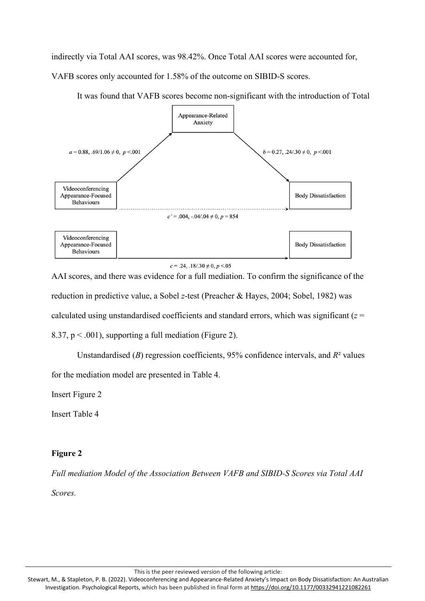indirectly via Total AAI scores, was 98.42%. Once Total AAI scores were accounted for,

VAFB scores only accounted for 1.58% of the outcome on SIBID-S scores.



It was found that VAFB scores become non-significant with the introduction of Total

 $c = .24, .18/.30 \neq 0, p < .05$ 

AAI scores, and there was evidence for a full mediation. To confirm the significance of the reduction in predictive value, a Sobel *z*-test (Preacher & Hayes, 2004; Sobel, 1982) was calculated using unstandardised coefficients and standard errors, which was significant (*z* = 8.37,  $p < .001$ ), supporting a full mediation (Figure 2).

Unstandardised (*B*) regression coefficients, 95% confidence intervals, and *R*² values for the mediation model are presented in Table 4.

Insert Figure 2

Insert Table 4

# **Figure 2**

*Full mediation Model of the Association Between VAFB and SIBID-S Scores via Total AAI*

*Scores.*

This is the peer reviewed version of the following article: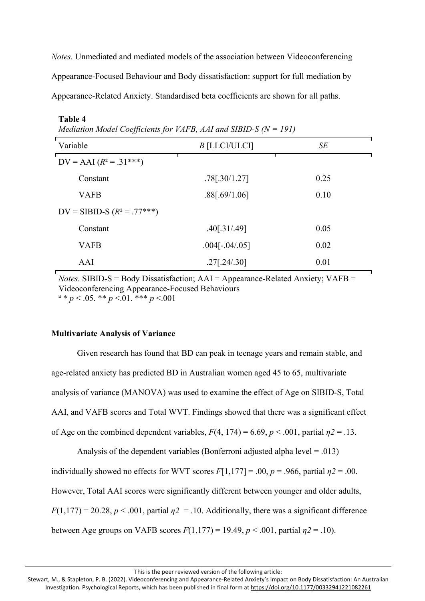*Notes.* Unmediated and mediated models of the association between Videoconferencing Appearance-Focused Behaviour and Body dissatisfaction: support for full mediation by Appearance-Related Anxiety. Standardised beta coefficients are shown for all paths.

| $m$ calation model coefficients for $r$ and $p$ , and and short $p$ (iv $r > 1$ ) |                         |      |  |  |  |  |  |
|-----------------------------------------------------------------------------------|-------------------------|------|--|--|--|--|--|
| Variable                                                                          | $B$ [LLCI/ULCI]         | SE   |  |  |  |  |  |
| $DV = AAI (R^2 = .31***)$                                                         |                         |      |  |  |  |  |  |
| Constant                                                                          | $.78$ [ $.30/1.27$ ]    | 0.25 |  |  |  |  |  |
| <b>VAFB</b>                                                                       | .88[.69/1.06]           | 0.10 |  |  |  |  |  |
| $DV = SUBID-S (R2 = .77***)$                                                      |                         |      |  |  |  |  |  |
| Constant                                                                          | .40[.31/.49]            | 0.05 |  |  |  |  |  |
| <b>VAFB</b>                                                                       | $.004[-.04/.05]$        | 0.02 |  |  |  |  |  |
| AAI                                                                               | $.27$ [ $.24$ $/ .30$ ] | 0.01 |  |  |  |  |  |

|  | Mediation Model Coefficients for VAFB, AAI and SIBID-S ( $N = 191$ ) |  |  |  |  |
|--|----------------------------------------------------------------------|--|--|--|--|
|  |                                                                      |  |  |  |  |

*Notes.* SIBID-S = Body Dissatisfaction;  $AAI = Appearance-Related Anxiety$ ;  $VAFB =$ Videoconferencing Appearance-Focused Behaviours  $a * p < .05.$  \*\*  $p < .01.$  \*\*\*  $p < .001$ 

### **Multivariate Analysis of Variance**

**Table 4**

Given research has found that BD can peak in teenage years and remain stable, and age-related anxiety has predicted BD in Australian women aged 45 to 65, multivariate analysis of variance (MANOVA) was used to examine the effect of Age on SIBID-S, Total AAI, and VAFB scores and Total WVT. Findings showed that there was a significant effect of Age on the combined dependent variables,  $F(4, 174) = 6.69$ ,  $p < .001$ , partial  $n^2 = .13$ .

Analysis of the dependent variables (Bonferroni adjusted alpha level = .013) individually showed no effects for WVT scores  $F[1,177] = .00$ ,  $p = .966$ , partial  $\eta$ 2 = .00. However, Total AAI scores were significantly different between younger and older adults,  $F(1,177) = 20.28$ ,  $p < .001$ , partial  $p2 = .10$ . Additionally, there was a significant difference between Age groups on VAFB scores  $F(1,177) = 19.49$ ,  $p < .001$ , partial  $p2 = .10$ ).

This is the peer reviewed version of the following article: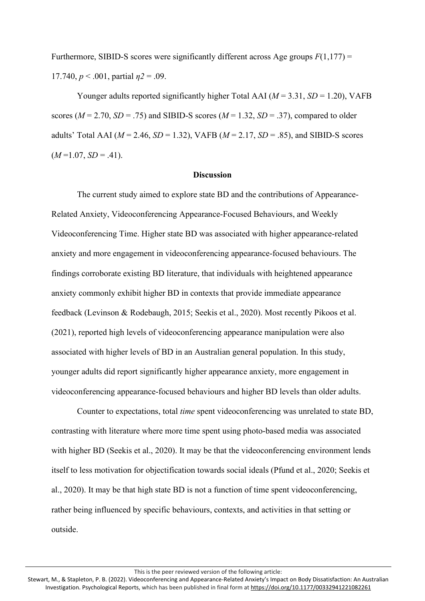Furthermore, SIBID-S scores were significantly different across Age groups *F*(1,177) = 17.740, *p* < .001, partial *η2* = .09.

Younger adults reported significantly higher Total AAI ( $M = 3.31$ ,  $SD = 1.20$ ), VAFB scores ( $M = 2.70$ ,  $SD = .75$ ) and SIBID-S scores ( $M = 1.32$ ,  $SD = .37$ ), compared to older adults' Total AAI (*M* = 2.46, *SD* = 1.32), VAFB (*M* = 2.17, *SD* = .85), and SIBID-S scores  $(M=1.07, SD=.41)$ .

#### **Discussion**

The current study aimed to explore state BD and the contributions of Appearance-Related Anxiety, Videoconferencing Appearance-Focused Behaviours, and Weekly Videoconferencing Time. Higher state BD was associated with higher appearance-related anxiety and more engagement in videoconferencing appearance-focused behaviours. The findings corroborate existing BD literature, that individuals with heightened appearance anxiety commonly exhibit higher BD in contexts that provide immediate appearance feedback (Levinson & Rodebaugh, 2015; Seekis et al., 2020). Most recently Pikoos et al. (2021), reported high levels of videoconferencing appearance manipulation were also associated with higher levels of BD in an Australian general population. In this study, younger adults did report significantly higher appearance anxiety, more engagement in videoconferencing appearance-focused behaviours and higher BD levels than older adults.

Counter to expectations, total *time* spent videoconferencing was unrelated to state BD, contrasting with literature where more time spent using photo-based media was associated with higher BD (Seekis et al., 2020). It may be that the videoconferencing environment lends itself to less motivation for objectification towards social ideals (Pfund et al., 2020; Seekis et al., 2020). It may be that high state BD is not a function of time spent videoconferencing, rather being influenced by specific behaviours, contexts, and activities in that setting or outside.

This is the peer reviewed version of the following article:

Stewart, M., & Stapleton, P. B. (2022). Videoconferencing and Appearance-Related Anxiety's Impact on Body Dissatisfaction: An Australian Investigation. Psychological Reports, which has been published in final form at <https://doi.org/10.1177/00332941221082261>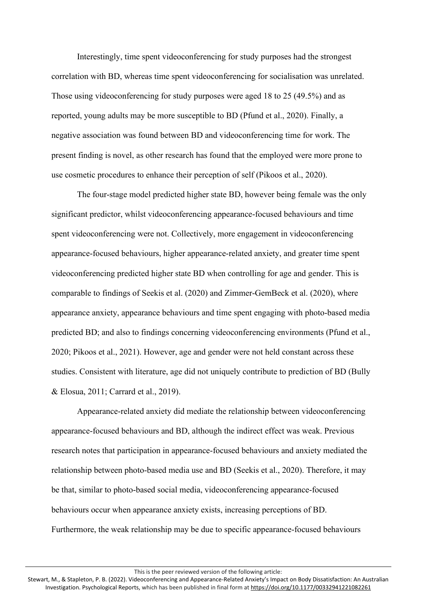Interestingly, time spent videoconferencing for study purposes had the strongest correlation with BD, whereas time spent videoconferencing for socialisation was unrelated. Those using videoconferencing for study purposes were aged 18 to 25 (49.5%) and as reported, young adults may be more susceptible to BD (Pfund et al., 2020). Finally, a negative association was found between BD and videoconferencing time for work. The present finding is novel, as other research has found that the employed were more prone to use cosmetic procedures to enhance their perception of self (Pikoos et al., 2020).

The four-stage model predicted higher state BD, however being female was the only significant predictor, whilst videoconferencing appearance-focused behaviours and time spent videoconferencing were not. Collectively, more engagement in videoconferencing appearance-focused behaviours, higher appearance-related anxiety, and greater time spent videoconferencing predicted higher state BD when controlling for age and gender. This is comparable to findings of Seekis et al. (2020) and Zimmer-GemBeck et al. (2020), where appearance anxiety, appearance behaviours and time spent engaging with photo-based media predicted BD; and also to findings concerning videoconferencing environments (Pfund et al., 2020; Pikoos et al., 2021). However, age and gender were not held constant across these studies. Consistent with literature, age did not uniquely contribute to prediction of BD (Bully & Elosua, 2011; Carrard et al., 2019).

Appearance-related anxiety did mediate the relationship between videoconferencing appearance-focused behaviours and BD, although the indirect effect was weak. Previous research notes that participation in appearance-focused behaviours and anxiety mediated the relationship between photo-based media use and BD (Seekis et al., 2020). Therefore, it may be that, similar to photo-based social media, videoconferencing appearance-focused behaviours occur when appearance anxiety exists, increasing perceptions of BD. Furthermore, the weak relationship may be due to specific appearance-focused behaviours

This is the peer reviewed version of the following article: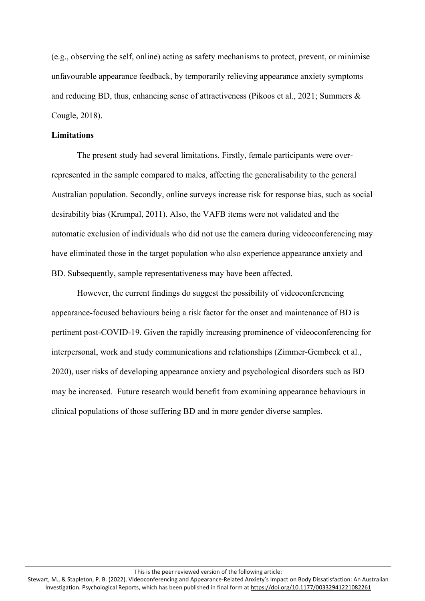(e.g., observing the self, online) acting as safety mechanisms to protect, prevent, or minimise unfavourable appearance feedback, by temporarily relieving appearance anxiety symptoms and reducing BD, thus, enhancing sense of attractiveness (Pikoos et al., 2021; Summers & Cougle, 2018).

#### **Limitations**

The present study had several limitations. Firstly, female participants were overrepresented in the sample compared to males, affecting the generalisability to the general Australian population. Secondly, online surveys increase risk for response bias, such as social desirability bias (Krumpal, 2011). Also, the VAFB items were not validated and the automatic exclusion of individuals who did not use the camera during videoconferencing may have eliminated those in the target population who also experience appearance anxiety and BD. Subsequently, sample representativeness may have been affected.

However, the current findings do suggest the possibility of videoconferencing appearance-focused behaviours being a risk factor for the onset and maintenance of BD is pertinent post-COVID-19. Given the rapidly increasing prominence of videoconferencing for interpersonal, work and study communications and relationships (Zimmer-Gembeck et al., 2020), user risks of developing appearance anxiety and psychological disorders such as BD may be increased. Future research would benefit from examining appearance behaviours in clinical populations of those suffering BD and in more gender diverse samples.

This is the peer reviewed version of the following article: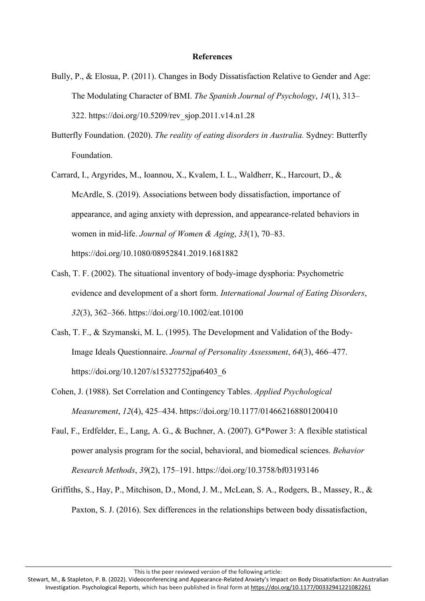#### **References**

- Bully, P., & Elosua, P. (2011). Changes in Body Dissatisfaction Relative to Gender and Age: The Modulating Character of BMI. *The Spanish Journal of Psychology*, *14*(1), 313– 322. https://doi.org/10.5209/rev\_sjop.2011.v14.n1.28
- Butterfly Foundation. (2020). *The reality of eating disorders in Australia.* Sydney: Butterfly Foundation.
- Carrard, I., Argyrides, M., Ioannou, X., Kvalem, I. L., Waldherr, K., Harcourt, D., & McArdle, S. (2019). Associations between body dissatisfaction, importance of appearance, and aging anxiety with depression, and appearance-related behaviors in women in mid-life. *Journal of Women & Aging*, *33*(1), 70–83. https://doi.org/10.1080/08952841.2019.1681882
- Cash, T. F. (2002). The situational inventory of body-image dysphoria: Psychometric evidence and development of a short form. *International Journal of Eating Disorders*, *32*(3), 362–366. <https://doi.org/10.1002/eat.10100>
- Cash, T. F., & Szymanski, M. L. (1995). The Development and Validation of the Body-Image Ideals Questionnaire. *Journal of Personality Assessment*, *64*(3), 466–477. [https://doi.org/10.1207/s15327752jpa6403\\_6](https://doi.org/10.1207/s15327752jpa6403_6)
- Cohen, J. (1988). Set Correlation and Contingency Tables. *Applied Psychological Measurement*, *12*(4), 425–434. <https://doi.org/10.1177/014662168801200410>
- Faul, F., Erdfelder, E., Lang, A. G., & Buchner, A. (2007). G\*Power 3: A flexible statistical power analysis program for the social, behavioral, and biomedical sciences. *Behavior Research Methods*, *39*(2), 175–191. <https://doi.org/10.3758/bf03193146>
- Griffiths, S., Hay, P., Mitchison, D., Mond, J. M., McLean, S. A., Rodgers, B., Massey, R., & Paxton, S. J. (2016). Sex differences in the relationships between body dissatisfaction,

This is the peer reviewed version of the following article:

Stewart, M., & Stapleton, P. B. (2022). Videoconferencing and Appearance-Related Anxiety's Impact on Body Dissatisfaction: An Australian Investigation. Psychological Reports, which has been published in final form at <https://doi.org/10.1177/00332941221082261>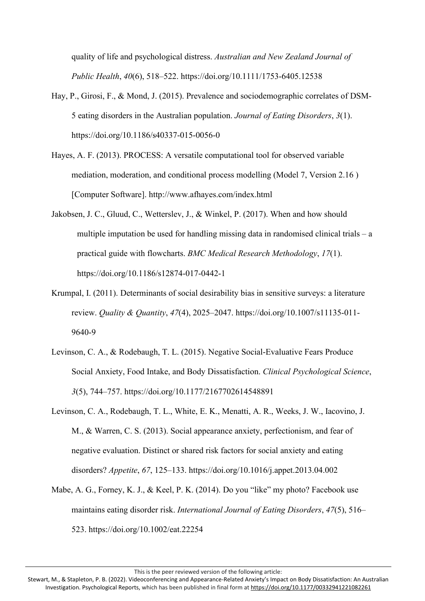quality of life and psychological distress. *Australian and New Zealand Journal of Public Health*, *40*(6), 518–522. <https://doi.org/10.1111/1753-6405.12538>

- Hay, P., Girosi, F., & Mond, J. (2015). Prevalence and sociodemographic correlates of DSM-5 eating disorders in the Australian population. *Journal of Eating Disorders*, *3*(1). https://doi.org/10.1186/s40337-015-0056-0
- Hayes, A. F. (2013). PROCESS: A versatile computational tool for observed variable mediation, moderation, and conditional process modelling (Model 7, Version 2.16 ) [Computer Software]. <http://www.afhayes.com/index.html>
- Jakobsen, J. C., Gluud, C., Wetterslev, J., & Winkel, P. (2017). When and how should multiple imputation be used for handling missing data in randomised clinical trials – a practical guide with flowcharts. *BMC Medical Research Methodology*, *17*(1). https://doi.org/10.1186/s12874-017-0442-1
- Krumpal, I. (2011). Determinants of social desirability bias in sensitive surveys: a literature review. *Quality & Quantity*, *47*(4), 2025–2047. [https://doi.org/10.1007/s11135-011-](https://doi.org/10.1007/s11135-011-9640-9) [9640-9](https://doi.org/10.1007/s11135-011-9640-9)
- Levinson, C. A., & Rodebaugh, T. L. (2015). Negative Social-Evaluative Fears Produce Social Anxiety, Food Intake, and Body Dissatisfaction. *Clinical Psychological Science*, *3*(5), 744–757. <https://doi.org/10.1177/2167702614548891>
- Levinson, C. A., Rodebaugh, T. L., White, E. K., Menatti, A. R., Weeks, J. W., Iacovino, J. M., & Warren, C. S. (2013). Social appearance anxiety, perfectionism, and fear of negative evaluation. Distinct or shared risk factors for social anxiety and eating disorders? *Appetite*, *67*, 125–133. <https://doi.org/10.1016/j.appet.2013.04.002>
- Mabe, A. G., Forney, K. J., & Keel, P. K. (2014). Do you "like" my photo? Facebook use maintains eating disorder risk. *International Journal of Eating Disorders*, *47*(5), 516– 523. <https://doi.org/10.1002/eat.22254>

This is the peer reviewed version of the following article:

Stewart, M., & Stapleton, P. B. (2022). Videoconferencing and Appearance-Related Anxiety's Impact on Body Dissatisfaction: An Australian Investigation. Psychological Reports, which has been published in final form at <https://doi.org/10.1177/00332941221082261>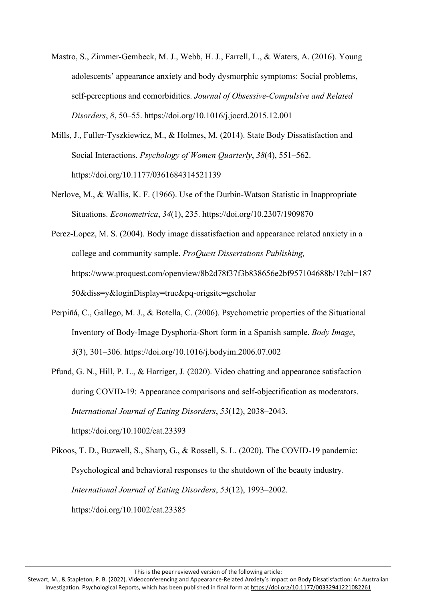- Mastro, S., Zimmer-Gembeck, M. J., Webb, H. J., Farrell, L., & Waters, A. (2016). Young adolescents' appearance anxiety and body dysmorphic symptoms: Social problems, self-perceptions and comorbidities. *Journal of Obsessive-Compulsive and Related Disorders*, *8*, 50–55. <https://doi.org/10.1016/j.jocrd.2015.12.001>
- Mills, J., Fuller-Tyszkiewicz, M., & Holmes, M. (2014). State Body Dissatisfaction and Social Interactions. *Psychology of Women Quarterly*, *38*(4), 551–562. <https://doi.org/10.1177/0361684314521139>
- Nerlove, M., & Wallis, K. F. (1966). Use of the Durbin-Watson Statistic in Inappropriate Situations. *Econometrica*, *34*(1), 235. https://doi.org/10.2307/1909870
- Perez-Lopez, M. S. (2004). Body image dissatisfaction and appearance related anxiety in a college and community sample. *ProQuest Dissertations Publishing,* [https://www.proquest.com/openview/8b2d78f37f3b838656e2bf957104688b/1?cbl=187](https://www.proquest.com/openview/8b2d78f37f3b838656e2bf957104688b/1?cbl=18750&diss=y&loginDisplay=true&pq-origsite=gscholar) [50&diss=y&loginDisplay=true&pq-origsite=gscholar](https://www.proquest.com/openview/8b2d78f37f3b838656e2bf957104688b/1?cbl=18750&diss=y&loginDisplay=true&pq-origsite=gscholar)
- Perpiñá, C., Gallego, M. J., & Botella, C. (2006). Psychometric properties of the Situational Inventory of Body-Image Dysphoria-Short form in a Spanish sample. *Body Image*, *3*(3), 301–306. https://doi.org/10.1016/j.bodyim.2006.07.002
- Pfund, G. N., Hill, P. L., & Harriger, J. (2020). Video chatting and appearance satisfaction during COVID‐19: Appearance comparisons and self‐objectification as moderators. *International Journal of Eating Disorders*, *53*(12), 2038–2043. <https://doi.org/10.1002/eat.23393>

Pikoos, T. D., Buzwell, S., Sharp, G., & Rossell, S. L. (2020). The COVID‐19 pandemic: Psychological and behavioral responses to the shutdown of the beauty industry. *International Journal of Eating Disorders*, *53*(12), 1993–2002. <https://doi.org/10.1002/eat.23385>

This is the peer reviewed version of the following article:

Stewart, M., & Stapleton, P. B. (2022). Videoconferencing and Appearance-Related Anxiety's Impact on Body Dissatisfaction: An Australian Investigation. Psychological Reports, which has been published in final form at <https://doi.org/10.1177/00332941221082261>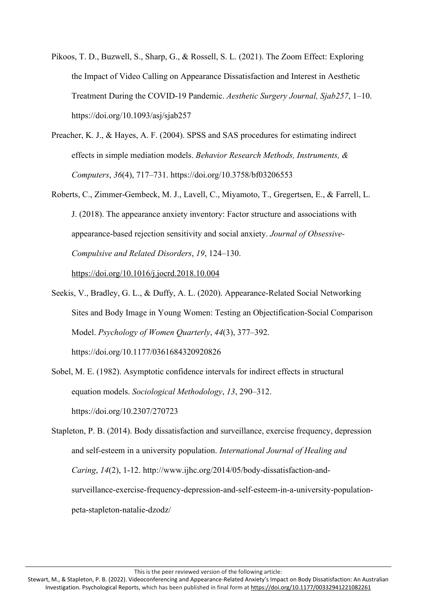- Pikoos, T. D., Buzwell, S., Sharp, G., & Rossell, S. L. (2021). The Zoom Effect: Exploring the Impact of Video Calling on Appearance Dissatisfaction and Interest in Aesthetic Treatment During the COVID-19 Pandemic. *Aesthetic Surgery Journal, Sjab257*, 1–10. <https://doi.org/10.1093/asj/sjab257>
- Preacher, K. J., & Hayes, A. F. (2004). SPSS and SAS procedures for estimating indirect effects in simple mediation models. *Behavior Research Methods, Instruments, & Computers*, *36*(4), 717–731. <https://doi.org/10.3758/bf03206553>
- Roberts, C., Zimmer-Gembeck, M. J., Lavell, C., Miyamoto, T., Gregertsen, E., & Farrell, L. J. (2018). The appearance anxiety inventory: Factor structure and associations with appearance-based rejection sensitivity and social anxiety. *Journal of Obsessive-Compulsive and Related Disorders*, *19*, 124–130.

<https://doi.org/10.1016/j.jocrd.2018.10.004>

- Seekis, V., Bradley, G. L., & Duffy, A. L. (2020). Appearance-Related Social Networking Sites and Body Image in Young Women: Testing an Objectification-Social Comparison Model. *Psychology of Women Quarterly*, *44*(3), 377–392. <https://doi.org/10.1177/0361684320920826>
- Sobel, M. E. (1982). Asymptotic confidence intervals for indirect effects in structural equation models. *Sociological Methodology*, *13*, 290–312. <https://doi.org/10.2307/270723>
- Stapleton, P. B. (2014). Body dissatisfaction and surveillance, exercise frequency, depression and self-esteem in a university population. *International Journal of Healing and Caring*, *14*(2), 1-12. [http://www.ijhc.org/2014/05/body-dissatisfaction-and](http://www.ijhc.org/2014/05/body-dissatisfaction-and-surveillance-exercise-frequency-depression-and-self-esteem-in-a-university-population-peta-stapleton-natalie-dzodz/)[surveillance-exercise-frequency-depression-and-self-esteem-in-a-university-population](http://www.ijhc.org/2014/05/body-dissatisfaction-and-surveillance-exercise-frequency-depression-and-self-esteem-in-a-university-population-peta-stapleton-natalie-dzodz/)[peta-stapleton-natalie-dzodz/](http://www.ijhc.org/2014/05/body-dissatisfaction-and-surveillance-exercise-frequency-depression-and-self-esteem-in-a-university-population-peta-stapleton-natalie-dzodz/)

This is the peer reviewed version of the following article:

Stewart, M., & Stapleton, P. B. (2022). Videoconferencing and Appearance-Related Anxiety's Impact on Body Dissatisfaction: An Australian Investigation. Psychological Reports, which has been published in final form at <https://doi.org/10.1177/00332941221082261>